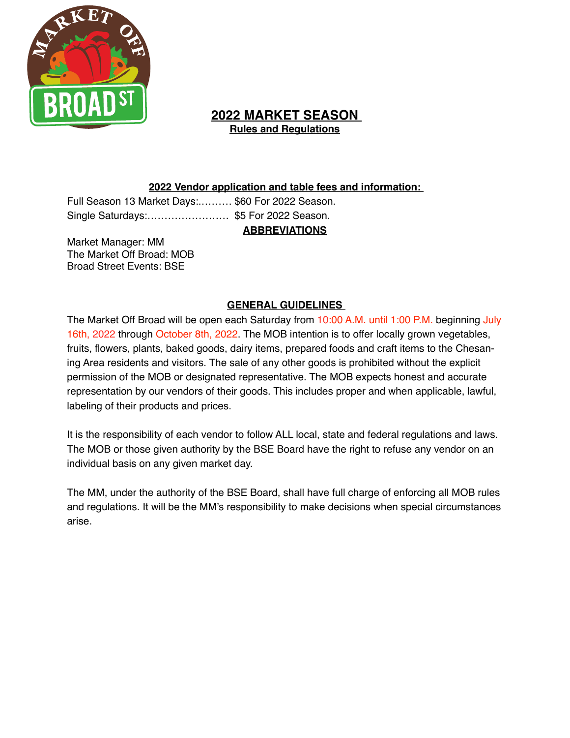

# **2022 MARKET SEASON Rules and Regulations**

## **2022 Vendor application and table fees and information:**

Full Season 13 Market Days:.……… \$60 For 2022 Season. Single Saturdays:…………………… \$5 For 2022 Season.

**ABBREVIATIONS** 

Market Manager: MM The Market Off Broad: MOB Broad Street Events: BSE

## **GENERAL GUIDELINES**

The Market Off Broad will be open each Saturday from 10:00 A.M. until 1:00 P.M. beginning July 16th, 2022 through October 8th, 2022. The MOB intention is to offer locally grown vegetables, fruits, flowers, plants, baked goods, dairy items, prepared foods and craft items to the Chesaning Area residents and visitors. The sale of any other goods is prohibited without the explicit permission of the MOB or designated representative. The MOB expects honest and accurate representation by our vendors of their goods. This includes proper and when applicable, lawful, labeling of their products and prices.

It is the responsibility of each vendor to follow ALL local, state and federal regulations and laws. The MOB or those given authority by the BSE Board have the right to refuse any vendor on an individual basis on any given market day.

The MM, under the authority of the BSE Board, shall have full charge of enforcing all MOB rules and regulations. It will be the MM's responsibility to make decisions when special circumstances arise.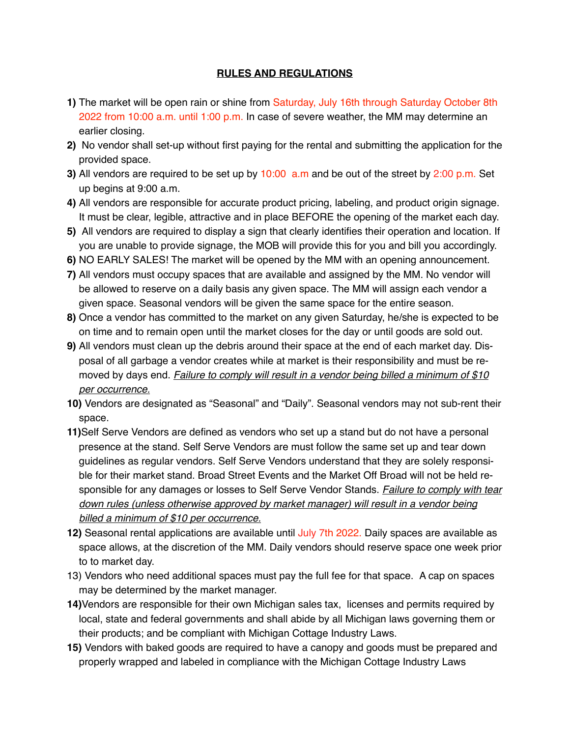#### **RULES AND REGULATIONS**

- **1)** The market will be open rain or shine from Saturday, July 16th through Saturday October 8th 2022 from 10:00 a.m. until 1:00 p.m. In case of severe weather, the MM may determine an earlier closing.
- **2)** No vendor shall set-up without first paying for the rental and submitting the application for the provided space.
- **3)** All vendors are required to be set up by 10:00 a.m and be out of the street by 2:00 p.m. Set up begins at 9:00 a.m.
- **4)** All vendors are responsible for accurate product pricing, labeling, and product origin signage. It must be clear, legible, attractive and in place BEFORE the opening of the market each day.
- **5)** All vendors are required to display a sign that clearly identifies their operation and location. If you are unable to provide signage, the MOB will provide this for you and bill you accordingly.
- **6)** NO EARLY SALES! The market will be opened by the MM with an opening announcement.
- **7)** All vendors must occupy spaces that are available and assigned by the MM. No vendor will be allowed to reserve on a daily basis any given space. The MM will assign each vendor a given space. Seasonal vendors will be given the same space for the entire season.
- **8)** Once a vendor has committed to the market on any given Saturday, he/she is expected to be on time and to remain open until the market closes for the day or until goods are sold out.
- **9)** All vendors must clean up the debris around their space at the end of each market day. Disposal of all garbage a vendor creates while at market is their responsibility and must be removed by days end. *Failure to comply will result in a vendor being billed a minimum of \$10 per occurrence.*
- **10)** Vendors are designated as "Seasonal" and "Daily". Seasonal vendors may not sub-rent their space.
- **11)**Self Serve Vendors are defined as vendors who set up a stand but do not have a personal presence at the stand. Self Serve Vendors are must follow the same set up and tear down guidelines as regular vendors. Self Serve Vendors understand that they are solely responsible for their market stand. Broad Street Events and the Market Off Broad will not be held responsible for any damages or losses to Self Serve Vendor Stands. *Failure to comply with tear down rules (unless otherwise approved by market manager) will result in a vendor being billed a minimum of \$10 per occurrence.*
- **12)** Seasonal rental applications are available until July 7th 2022. Daily spaces are available as space allows, at the discretion of the MM. Daily vendors should reserve space one week prior to to market day.
- 13) Vendors who need additional spaces must pay the full fee for that space. A cap on spaces may be determined by the market manager.
- **14)**Vendors are responsible for their own Michigan sales tax, licenses and permits required by local, state and federal governments and shall abide by all Michigan laws governing them or their products; and be compliant with Michigan Cottage Industry Laws.
- **15)** Vendors with baked goods are required to have a canopy and goods must be prepared and properly wrapped and labeled in compliance with the Michigan Cottage Industry Laws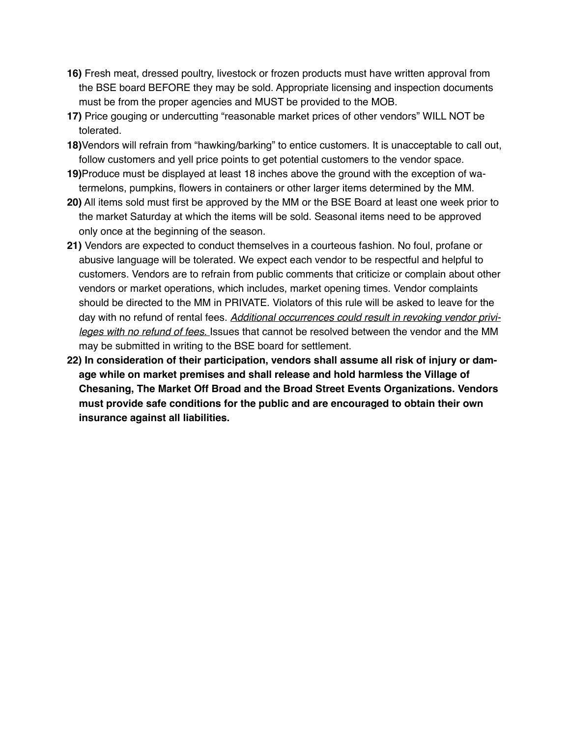- **16)** Fresh meat, dressed poultry, livestock or frozen products must have written approval from the BSE board BEFORE they may be sold. Appropriate licensing and inspection documents must be from the proper agencies and MUST be provided to the MOB.
- **17)** Price gouging or undercutting "reasonable market prices of other vendors" WILL NOT be tolerated.
- **18)**Vendors will refrain from "hawking/barking" to entice customers. It is unacceptable to call out, follow customers and yell price points to get potential customers to the vendor space.
- **19)**Produce must be displayed at least 18 inches above the ground with the exception of watermelons, pumpkins, flowers in containers or other larger items determined by the MM.
- **20)** All items sold must first be approved by the MM or the BSE Board at least one week prior to the market Saturday at which the items will be sold. Seasonal items need to be approved only once at the beginning of the season.
- **21)** Vendors are expected to conduct themselves in a courteous fashion. No foul, profane or abusive language will be tolerated. We expect each vendor to be respectful and helpful to customers. Vendors are to refrain from public comments that criticize or complain about other vendors or market operations, which includes, market opening times. Vendor complaints should be directed to the MM in PRIVATE. Violators of this rule will be asked to leave for the day with no refund of rental fees. *Additional occurrences could result in revoking vendor privileges with no refund of fees.* Issues that cannot be resolved between the vendor and the MM may be submitted in writing to the BSE board for settlement.
- **22) In consideration of their participation, vendors shall assume all risk of injury or damage while on market premises and shall release and hold harmless the Village of Chesaning, The Market Off Broad and the Broad Street Events Organizations. Vendors must provide safe conditions for the public and are encouraged to obtain their own insurance against all liabilities.**